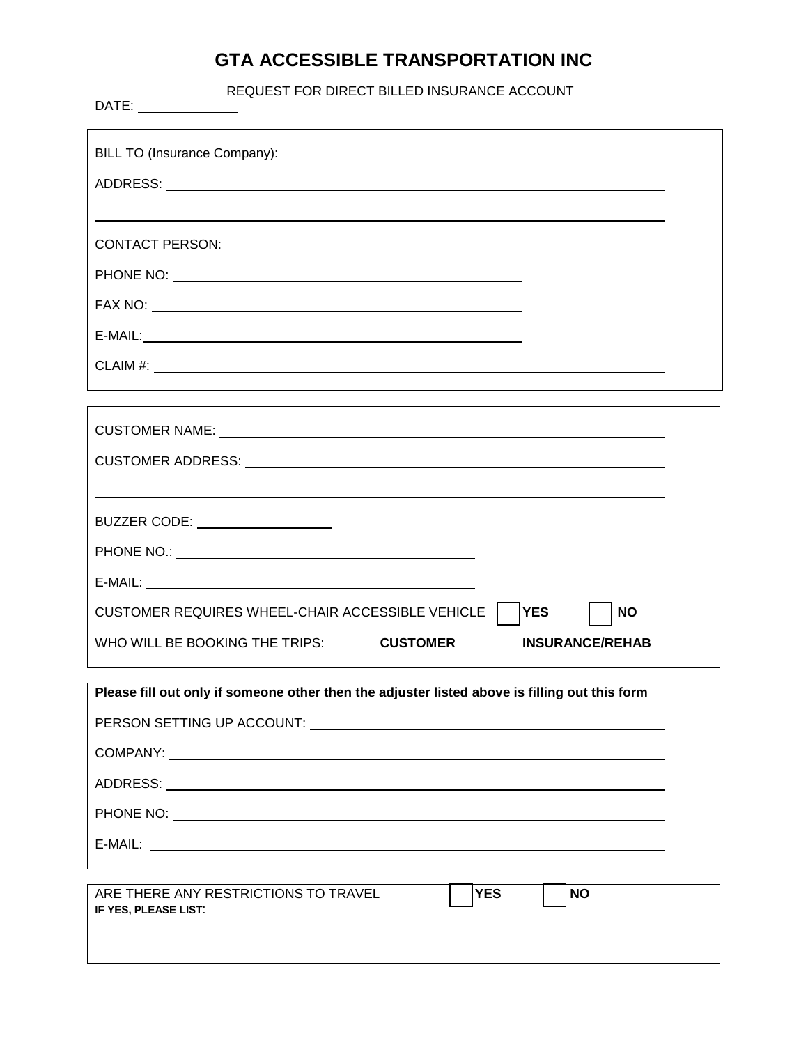## **GTA ACCESSIBLE TRANSPORTATION INC**

REQUEST FOR DIRECT BILLED INSURANCE ACCOUNT

| $E-MAIL:$                                                                                                                                                                                                                      |
|--------------------------------------------------------------------------------------------------------------------------------------------------------------------------------------------------------------------------------|
|                                                                                                                                                                                                                                |
|                                                                                                                                                                                                                                |
|                                                                                                                                                                                                                                |
|                                                                                                                                                                                                                                |
|                                                                                                                                                                                                                                |
| BUZZER CODE: __________________                                                                                                                                                                                                |
|                                                                                                                                                                                                                                |
|                                                                                                                                                                                                                                |
| CUSTOMER REQUIRES WHEEL-CHAIR ACCESSIBLE VEHICLE<br><b>YES</b><br><b>NO</b>                                                                                                                                                    |
| WHO WILL BE BOOKING THE TRIPS:<br><b>CUSTOMER</b><br><b>INSURANCE/REHAB</b>                                                                                                                                                    |
|                                                                                                                                                                                                                                |
| Please fill out only if someone other then the adjuster listed above is filling out this form                                                                                                                                  |
| PERSON SETTING UP ACCOUNT: And the state of the state of the state of the state of the state of the state of the state of the state of the state of the state of the state of the state of the state of the state of the state |
|                                                                                                                                                                                                                                |
|                                                                                                                                                                                                                                |
|                                                                                                                                                                                                                                |
|                                                                                                                                                                                                                                |
|                                                                                                                                                                                                                                |
| <b>YES</b><br>ARE THERE ANY RESTRICTIONS TO TRAVEL<br><b>NO</b><br>IF YES, PLEASE LIST:                                                                                                                                        |
|                                                                                                                                                                                                                                |
|                                                                                                                                                                                                                                |